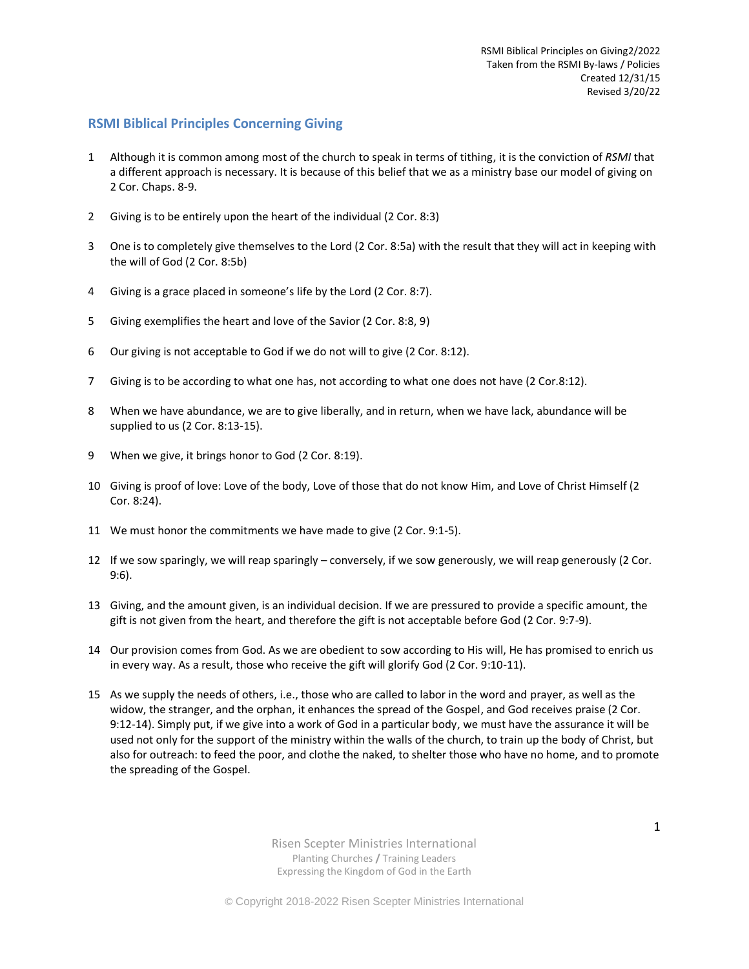## **RSMI Biblical Principles Concerning Giving**

- 1 Although it is common among most of the church to speak in terms of tithing, it is the conviction of *RSMI* that a different approach is necessary. It is because of this belief that we as a ministry base our model of giving on 2 Cor. Chaps. 8-9.
- 2 Giving is to be entirely upon the heart of the individual (2 Cor. 8:3)
- 3 One is to completely give themselves to the Lord (2 Cor. 8:5a) with the result that they will act in keeping with the will of God (2 Cor. 8:5b)
- 4 Giving is a grace placed in someone's life by the Lord (2 Cor. 8:7).
- 5 Giving exemplifies the heart and love of the Savior (2 Cor. 8:8, 9)
- 6 Our giving is not acceptable to God if we do not will to give (2 Cor. 8:12).
- 7 Giving is to be according to what one has, not according to what one does not have (2 Cor.8:12).
- 8 When we have abundance, we are to give liberally, and in return, when we have lack, abundance will be supplied to us (2 Cor. 8:13-15).
- 9 When we give, it brings honor to God (2 Cor. 8:19).
- 10 Giving is proof of love: Love of the body, Love of those that do not know Him, and Love of Christ Himself (2 Cor. 8:24).
- 11 We must honor the commitments we have made to give (2 Cor. 9:1-5).
- 12 If we sow sparingly, we will reap sparingly conversely, if we sow generously, we will reap generously (2 Cor. 9:6).
- 13 Giving, and the amount given, is an individual decision. If we are pressured to provide a specific amount, the gift is not given from the heart, and therefore the gift is not acceptable before God (2 Cor. 9:7-9).
- 14 Our provision comes from God. As we are obedient to sow according to His will, He has promised to enrich us in every way. As a result, those who receive the gift will glorify God (2 Cor. 9:10-11).
- 15 As we supply the needs of others, i.e., those who are called to labor in the word and prayer, as well as the widow, the stranger, and the orphan, it enhances the spread of the Gospel, and God receives praise (2 Cor. 9:12-14). Simply put, if we give into a work of God in a particular body, we must have the assurance it will be used not only for the support of the ministry within the walls of the church, to train up the body of Christ, but also for outreach: to feed the poor, and clothe the naked, to shelter those who have no home, and to promote the spreading of the Gospel.

Risen Scepter Ministries International Planting Churches **/** Training Leaders Expressing the Kingdom of God in the Earth